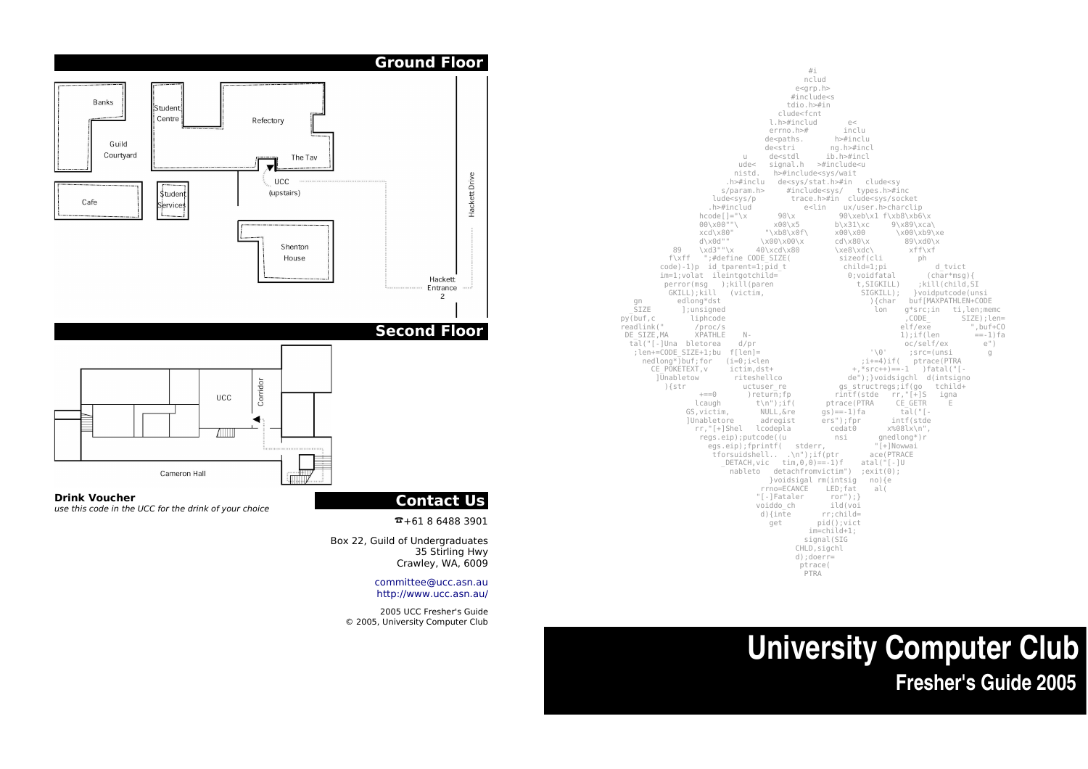

# **University Computer Club Fresher's Guide 2005**



# **Contact Us**

 $\overline{2} + 61864883901$ 

Box 22, Guild of Undergraduates 35 Stirling Hwy Crawley, WA, 6009

> committee@ucc.asn.au http://www.ucc.asn.au/

2005 UCC Fresher's Guide © 2005, University Computer Club





**Drink Voucher** use this code in the UCC for the drink of your choice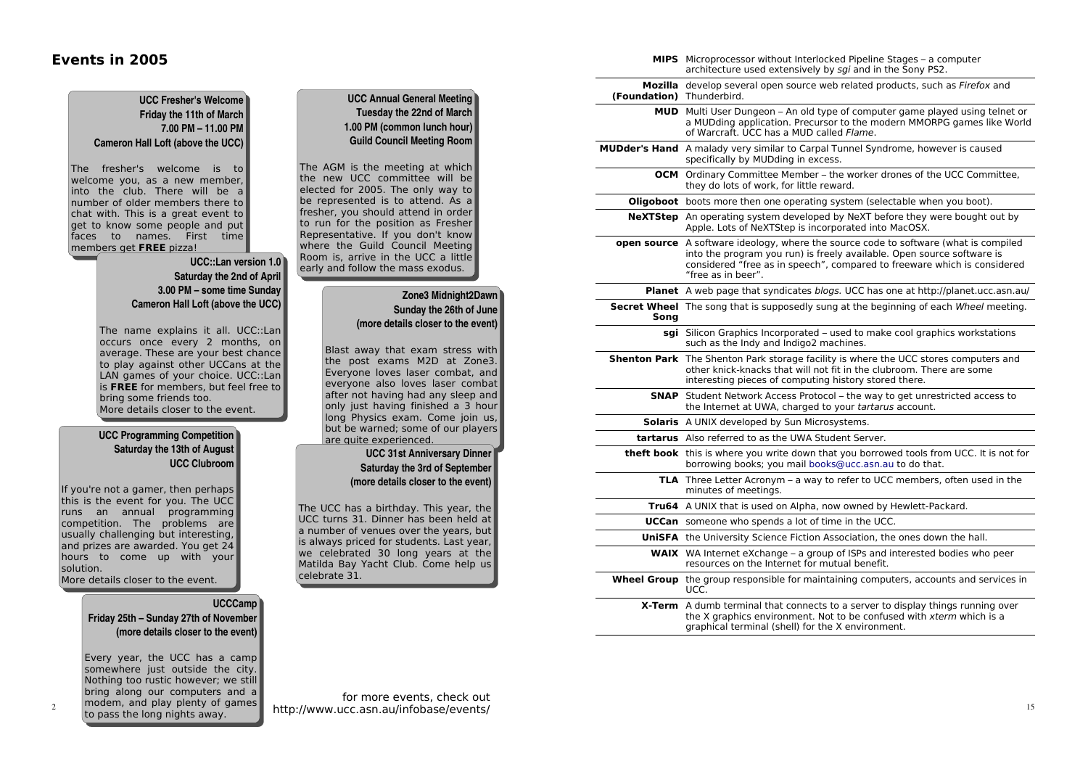### Events in 2005

|                           | architecture used extensively by sgi and in the Sony PS2.                                                                                                                                                                                                               |
|---------------------------|-------------------------------------------------------------------------------------------------------------------------------------------------------------------------------------------------------------------------------------------------------------------------|
| (Foundation) Thunderbird. | <b>Mozilla</b> develop several open source web related products, such as <i>Firefox</i> and                                                                                                                                                                             |
|                           | <b>MUD</b> Multi User Dungeon – An old type of computer game played using telnet or<br>a MUDding application. Precursor to the modern MMORPG games like World<br>of Warcraft. UCC has a MUD called Flame.                                                               |
|                           | <b>MUDder's Hand</b> A malady very similar to Carpal Tunnel Syndrome, however is caused<br>specifically by MUDding in excess.                                                                                                                                           |
|                           | <b>OCM</b> Ordinary Committee Member – the worker drones of the UCC Committee,<br>they do lots of work, for little reward.                                                                                                                                              |
|                           | <b>Oligoboot</b> boots more then one operating system (selectable when you boot).                                                                                                                                                                                       |
|                           | <b>NeXTStep</b> An operating system developed by NeXT before they were bought out by<br>Apple. Lots of NeXTStep is incorporated into MacOSX.                                                                                                                            |
|                           | <b>open source</b> A software ideology, where the source code to software (what is compiled<br>into the program you run) is freely available. Open source software is<br>considered "free as in speech", compared to freeware which is considered<br>"free as in beer". |
|                           | <b>Planet</b> A web page that syndicates blogs. UCC has one at http://planet.ucc.asn.au/                                                                                                                                                                                |
| Song                      | <b>Secret Wheel</b> The song that is supposedly sung at the beginning of each Wheel meeting.                                                                                                                                                                            |
|                           | <b>sgi</b> Silicon Graphics Incorporated – used to make cool graphics workstations<br>such as the Indy and Indigo2 machines.                                                                                                                                            |
|                           | <b>Shenton Park</b> The Shenton Park storage facility is where the UCC stores computers and<br>other knick-knacks that will not fit in the clubroom. There are some<br>interesting pieces of computing history stored there.                                            |
|                           | <b>SNAP</b> Student Network Access Protocol – the way to get unrestricted access to<br>the Internet at UWA, charged to your tartarus account.                                                                                                                           |
|                           | <b>Solaris</b> A UNIX developed by Sun Microsystems.                                                                                                                                                                                                                    |
|                           | <b>tartarus</b> Also referred to as the UWA Student Server.                                                                                                                                                                                                             |
|                           | theft book this is where you write down that you borrowed tools from UCC. It is not for<br>borrowing books; you mail books@ucc.asn.au to do that.                                                                                                                       |
|                           | <b>TLA</b> Three Letter Acronym – a way to refer to UCC members, often used in the<br>minutes of meetings.                                                                                                                                                              |
|                           | <b>Tru64</b> A UNIX that is used on Alpha, now owned by Hewlett-Packard.                                                                                                                                                                                                |
|                           | <b>UCCan</b> someone who spends a lot of time in the UCC.                                                                                                                                                                                                               |
|                           | <b>UniSFA</b> the University Science Fiction Association, the ones down the hall.                                                                                                                                                                                       |
|                           | WAIX WA Internet eXchange - a group of ISPs and interested bodies who peer<br>resources on the Internet for mutual benefit.                                                                                                                                             |
|                           | Wheel Group the group responsible for maintaining computers, accounts and services in<br>UCC.                                                                                                                                                                           |
|                           | <b>X-Term</b> A dumb terminal that connects to a server to display things running over<br>the X graphics environment. Not to be confused with xterm which is a<br>graphical terminal (shell) for the X environment.                                                     |

**MIPS** Microprocessor without Interlocked Pipeline Stages – a computer

### **UCC Annual General Meeting Tuesday the 22nd of March 1.00 PM (com mon lunch hour) Guild Council Meeting Room**

The AGM is the meeting at which the new UCC committee will be elected for 2005. The only way to be represented is to attend. As a fresher, you should attend in order to run for the position as Fresher Representative. If you don't know where the Guild Council Meeting Room is, arrive in the UCC a little early and follow the mass exodus.

#### **Zone3 Midnight2Dawn Sunday the 26th of June (more details closer to the event)**

Blast away that exam stress with the post exams M2D at Zone3. Everyone loves laser combat, and evervone also loves laser combat after not having had any sleep and only just having finished a 3 hour long Physics exam. Come join us. but be warned; some of our players <u>are quite experienced.</u>

#### **UCC 31st Anniversary Dinner Saturday the 3rd of September (more details closer to the event)**

The UCC has a birthday. This year, the UCC turns 31. Dinner has been held at a number of venues over the years, but is always priced for students. Last year, we celebrated 30 long years at the Matilda Bay Yacht Club. Come help us celebrate 31.

#### **UCC Fresher's Welcome Friday the 11th of March 7.00 PM – 11.00 PM Cameron Hall Loft (above the UCC)**

The fresher's welcome is to welcome you, as a new member, into the club. There will be a number of older members there to chat with. This is a great event to get to know some people and put faces to names. First time memb<u>ers get FREE pizza!</u>

#### **UCC::Lan version 1.0 Saturday the 2nd of April 3.00 PM – some time Sunday Cameron Hall Loft (above the UCC)**

The name explains it all. UCC::Lan occurs once every 2 months, on average. These are your best chance to play against other UCCans at the LAN games of your choice. UCC::Lan is FREE for members, but feel free to bring some friends too. More details closer to the event.

#### **UCC Program ming Competition Saturday the 13th of August UCC Clubroom**

If you're not a gamer, then perhaps this is the event for you. The UCC runs an annual programming competition. The problems are usually challenging but interesting, and prizes are awarded. You get 24 hours to come up with your solution.

#### More details closer to the event.

2

#### **UCCCamp Friday 25th – Sunday 27th of November (more details closer to the event)**

Every year, the UCC has a camp somewhere just outside the city. Nothing too rustic however; we still bring along our computers and a modem, and play plenty of games to pass the long nights away.

for more events, check out http://www.ucc.asn.au/infobase/events/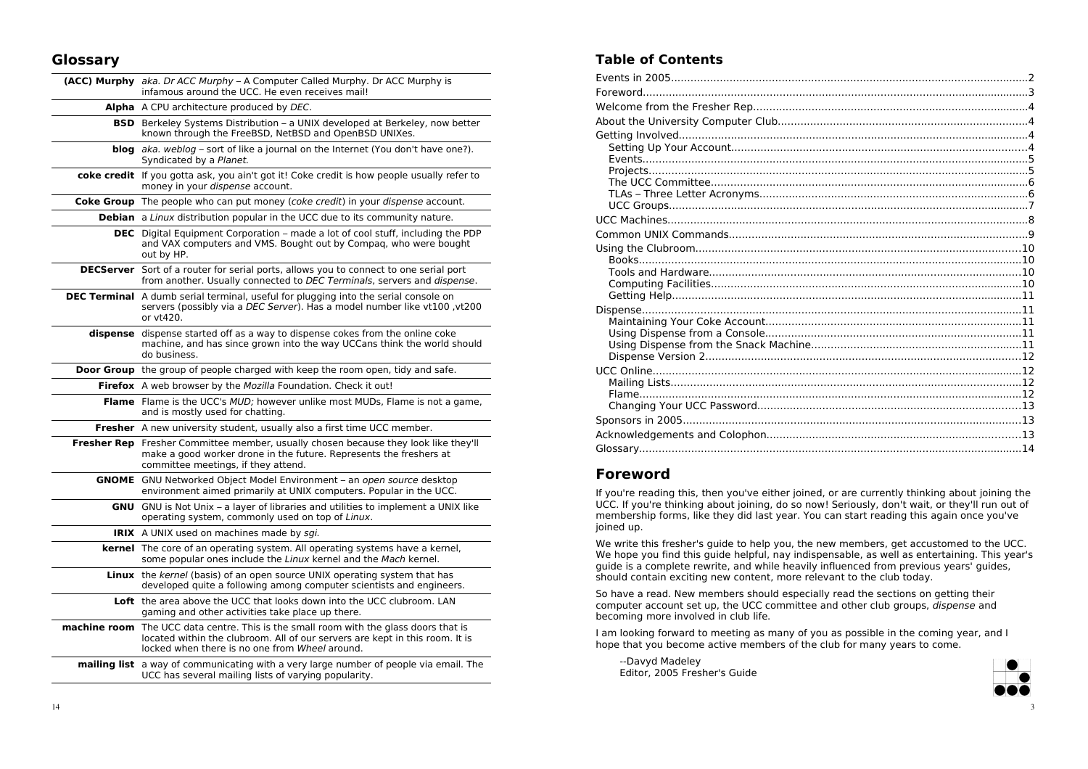## Glossary

| <b>(ACC) Murphy</b> aka. Dr ACC Murphy – A Computer Called Murphy. Dr ACC Murphy is<br>infamous around the UCC. He even receives mail!                                                                                         |
|--------------------------------------------------------------------------------------------------------------------------------------------------------------------------------------------------------------------------------|
| Alpha A CPU architecture produced by DEC.                                                                                                                                                                                      |
| <b>BSD</b> Berkeley Systems Distribution – a UNIX developed at Berkeley, now better<br>known through the FreeBSD, NetBSD and OpenBSD UNIXes.                                                                                   |
| <b>blog</b> aka. weblog – sort of like a journal on the Internet (You don't have one?).<br>Syndicated by a Planet.                                                                                                             |
| <b>coke credit</b> If you gotta ask, you ain't got it! Coke credit is how people usually refer to<br>money in your dispense account.                                                                                           |
| <b>Coke Group</b> The people who can put money (coke credit) in your dispense account.                                                                                                                                         |
| <b>Debian</b> a Linux distribution popular in the UCC due to its community nature.                                                                                                                                             |
| <b>DEC</b> Digital Equipment Corporation – made a lot of cool stuff, including the PDP<br>and VAX computers and VMS. Bought out by Compag, who were bought<br>out by HP.                                                       |
| <b>DECServer</b> Sort of a router for serial ports, allows you to connect to one serial port<br>from another. Usually connected to DEC Terminals, servers and dispense.                                                        |
| <b>DEC Terminal</b> A dumb serial terminal, useful for plugging into the serial console on<br>servers (possibly via a DEC Server). Has a model number like vt100, vt200<br>or vt420.                                           |
| dispense dispense started off as a way to dispense cokes from the online coke<br>machine, and has since grown into the way UCCans think the world should<br>do business.                                                       |
| <b>Door Group</b> the group of people charged with keep the room open, tidy and safe.                                                                                                                                          |
|                                                                                                                                                                                                                                |
| Firefox A web browser by the Mozilla Foundation. Check it out!                                                                                                                                                                 |
| <b>Flame</b> Flame is the UCC's MUD; however unlike most MUDs, Flame is not a game,<br>and is mostly used for chatting.                                                                                                        |
| <b>Fresher</b> A new university student, usually also a first time UCC member.                                                                                                                                                 |
| <b>Fresher Rep</b> Fresher Committee member, usually chosen because they look like they'll<br>make a good worker drone in the future. Represents the freshers at<br>committee meetings, if they attend.                        |
| <b>GNOME</b> GNU Networked Object Model Environment - an open source desktop<br>environment aimed primarily at UNIX computers. Popular in the UCC.                                                                             |
| <b>GNU</b> GNU is Not Unix – a layer of libraries and utilities to implement a UNIX like<br>operating system, commonly used on top of Linux.                                                                                   |
| <b>IRIX</b> A UNIX used on machines made by sgi.                                                                                                                                                                               |
| <b>kernel</b> The core of an operating system. All operating systems have a kernel,<br>some popular ones include the Linux kernel and the Mach kernel.                                                                         |
| <b>Linux</b> the kernel (basis) of an open source UNIX operating system that has<br>developed quite a following among computer scientists and engineers.                                                                       |
| Loft the area above the UCC that looks down into the UCC clubroom. LAN<br>gaming and other activities take place up there.                                                                                                     |
| <b>machine room</b> The UCC data centre. This is the small room with the glass doors that is<br>located within the clubroom. All of our servers are kept in this room. It is<br>locked when there is no one from Wheel around. |

# **Table of Contents**

# **Foreword**

If you're reading this, then you've either joined, or are currently thinking about joining the UCC. If you're thinking about joining, do so now! Seriously, don't wait, or they'll run out of membership forms, like they did last year. You can start reading this again once you've joined up.

We write this fresher's guide to help you, the new members, get accustomed to the UCC. We hope you find this guide helpful, nay indispensable, as well as entertaining. This year's quide is a complete rewrite, and while heavily influenced from previous years' quides, should contain exciting new content, more relevant to the club today.

So have a read. New members should especially read the sections on getting their computer account set up, the UCC committee and other club groups, dispense and becoming more involved in club life.

I am looking forward to meeting as many of you as possible in the coming year, and I hope that you become active members of the club for many years to come.

--Davyd Madeley Editor, 2005 Fresher's Guide

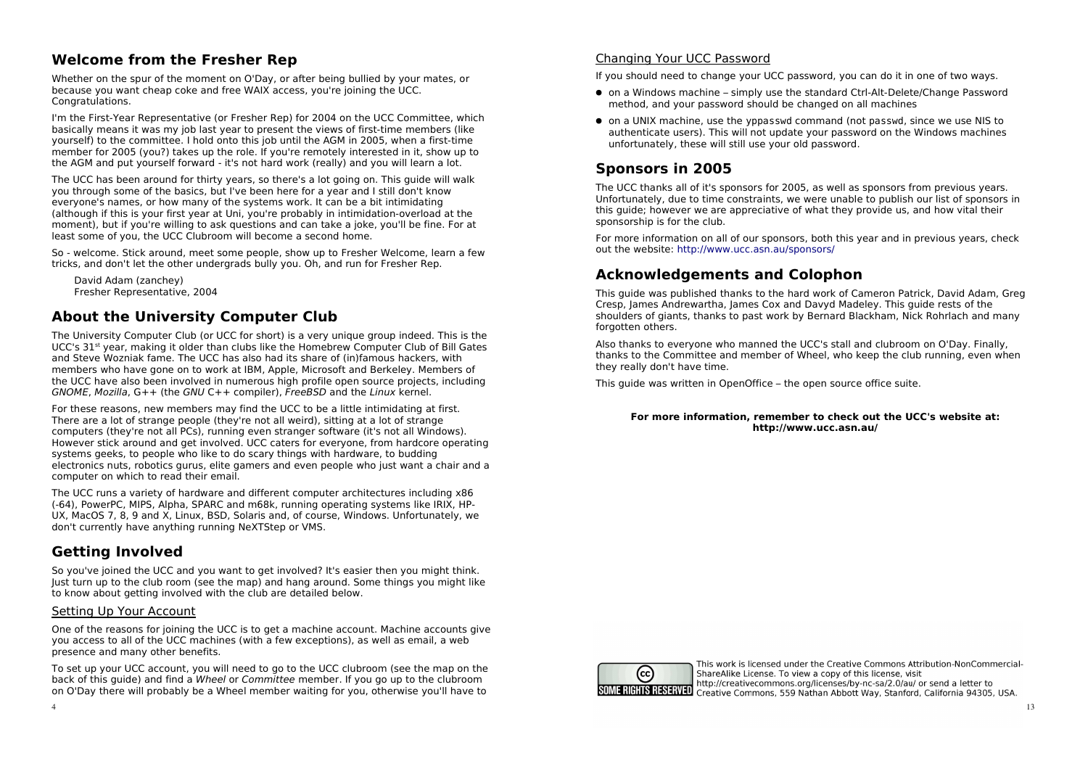# **Welcome from the Fresher Rep**

Whether on the spur of the moment on O'Day, or after being bullied by your mates, or because you want cheap coke and free WAIX access, you're joining the UCC. Congratulations.

I'm the First-Year Representative (or Fresher Rep) for 2004 on the UCC Committee, which basically means it was my job last year to present the views of first-time members (like vourself) to the committee. I hold onto this job until the AGM in 2005, when a first-time member for 2005 (you?) takes up the role. If you're remotely interested in it, show up to the AGM and put yourself forward - it's not hard work (really) and you will learn a lot.

The UCC has been around for thirty years, so there's a lot going on. This quide will walk you through some of the basics, but I've been here for a year and I still don't know everyone's names, or how many of the systems work. It can be a bit intimidating (although if this is your first year at Uni, you're probably in intimidation-overload at the moment), but if you're willing to ask questions and can take a joke, you'll be fine. For at least some of you, the UCC Clubroom will become a second home.

So - welcome. Stick around, meet some people, show up to Fresher Welcome, learn a few tricks, and don't let the other undergrads bully you. Oh, and run for Fresher Rep.

David Adam (zanchev) Fresher Representative, 2004

# **About the University Computer Club**

The University Computer Club (or UCC for short) is a very unique group indeed. This is the UCC's 31<sup>st</sup> year, making it older than clubs like the Homebrew Computer Club of Bill Gates and Steve Wozniak fame. The UCC has also had its share of (in)famous hackers, with members who have gone on to work at IBM, Apple, Microsoft and Berkeley. Members of the UCC have also been involved in numerous high profile open source projects, including GNOME. Mozilla.  $G++$  (the GNU  $C++$  compiler). FreeBSD and the Linux kernel.

For these reasons, new members may find the UCC to be a little intimidating at first. There are a lot of strange people (they're not all weird), sitting at a lot of strange computers (they're not all PCs), running even stranger software (it's not all Windows). However stick around and get involved. UCC caters for everyone, from hardcore operating systems geeks, to people who like to do scary things with hardware, to budding electronics nuts, robotics gurus, elite gamers and even people who just want a chair and a computer on which to read their email.

The UCC runs a variety of hardware and different computer architectures including x86 (-64), PowerPC, MIPS, Alpha, SPARC and m68k, running operating systems like IRIX, HP-UX, MacOS 7, 8, 9 and X, Linux, BSD, Solaris and, of course, Windows. Unfortunately, we don't currently have anything running NeXTStep or VMS.

# **Getting Involved**

So you've joined the UCC and you want to get involved? It's easier then you might think. lust turn up to the club room (see the map) and hang around. Some things you might like to know about getting involved with the club are detailed below.

#### Setting Up Your Account

One of the reasons for joining the UCC is to get a machine account. Machine accounts give you access to all of the UCC machines (with a few exceptions), as well as email, a web presence and many other benefits.

To set up your UCC account, you will need to go to the UCC clubroom (see the map on the back of this quide) and find a Wheel or Committee member. If you go up to the clubroom on O'Day there will probably be a Wheel member waiting for you, otherwise you'll have to

#### Changing Your UCC Password

If you should need to change your UCC password, you can do it in one of two ways.

- on a Windows machine simply use the standard Ctrl-Alt-Delete/Change Password method, and your password should be changed on all machines
- on a UNIX machine, use the yppasswd command (not passwd, since we use NIS to authenticate users). This will not update your password on the Windows machines unfortunately, these will still use your old password.

# **Sponsors in 2005**

The UCC thanks all of it's sponsors for 2005, as well as sponsors from previous years. Unfortunately, due to time constraints, we were unable to publish our list of sponsors in this quide: however we are appreciative of what they provide us, and how vital their sponsorship is for the club.

For more information on all of our sponsors, both this year and in previous years, check out the website: http://www.ucc.asn.au/sponsors/

# **Acknowledgements and Colophon**

This guide was published thanks to the hard work of Cameron Patrick, David Adam, Greg Cresp. James Andrewartha, James Cox and Dayyd Madeley. This quide rests of the shoulders of giants, thanks to past work by Bernard Blackham, Nick Rohrlach and many forgotten others.

Also thanks to everyone who manned the UCC's stall and clubroom on O'Day, Finally. thanks to the Committee and member of Wheel, who keep the club running, even when they really don't have time.

This quide was written in OpenOffice - the open source office suite.

#### For more information, remember to check out the UCC's website at: http://www.ucc.asn.au/



This work is licensed under the Creative Commons Attribution-NonCommercial-ShareAlike License. To view a copy of this license, visit http://creativecommons.org/licenses/by-nc-sa/2.0/au/ or send a letter to SOME RIGHTS RESERVED Creative Commons, 559 Nathan Abbott Way, Stanford, California 94305, USA.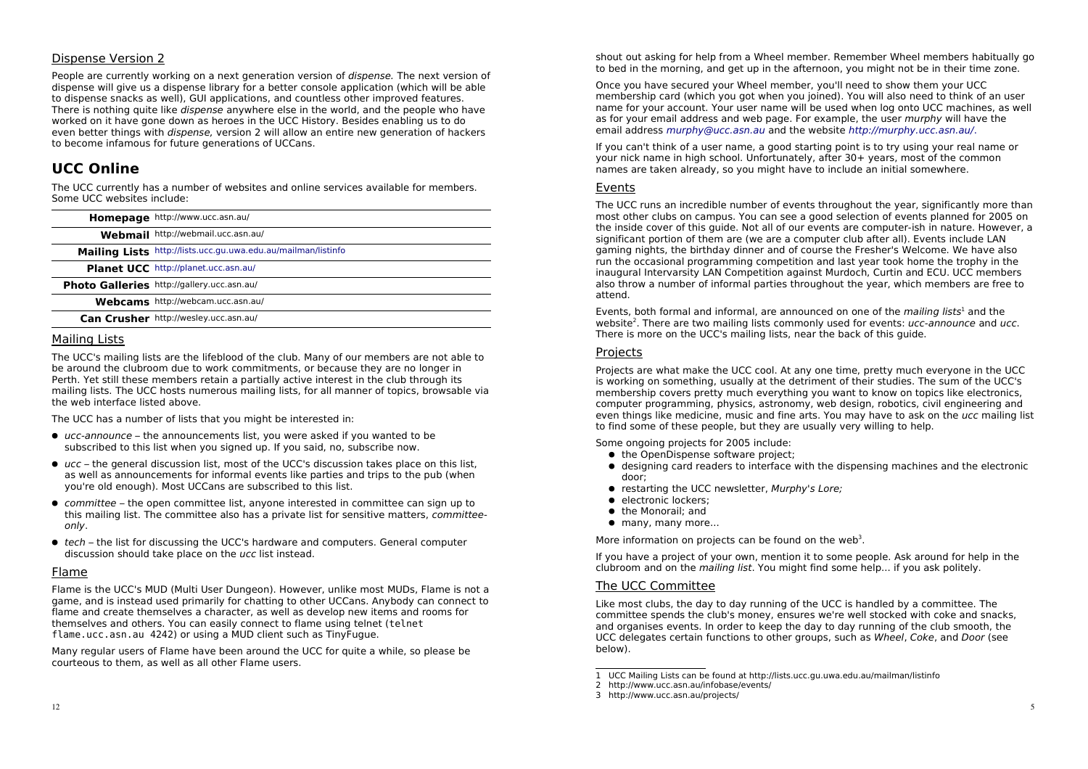#### **Dispense Version 2**

People are currently working on a next generation version of *dispense*. The next version of dispense will give us a dispense library for a better console application (which will be able to dispense snacks as well). GUI applications, and countless other improved features. There is nothing quite like *dispense* anywhere else in the world, and the people who have worked on it have gone down as heroes in the UCC History. Besides enabling us to do even better things with *dispense*, version 2 will allow an entire new generation of hackers to become infamous for future generations of UCCans.

# **UCC Online**

The UCC currently has a number of websites and online services available for members. Some UCC websites include:

| Homepage http://www.ucc.asn.au/                               |
|---------------------------------------------------------------|
| Webmail http://webmail.ucc.asn.au/                            |
| Mailing Lists http://lists.ucc.gu.uwa.edu.au/mailman/listinfo |
| Planet UCC http://planet.ucc.asn.au/                          |
| Photo Galleries http://gallery.ucc.asn.au/                    |
| Webcams http://webcam.ucc.asn.au/                             |
| Can Crusher http://wesley.ucc.asn.au/                         |
|                                                               |

#### Mailing Lists

The UCC's mailing lists are the lifeblood of the club. Many of our members are not able to be around the clubroom due to work commitments, or because they are no longer in Perth. Yet still these members retain a partially active interest in the club through its mailing lists. The UCC hosts numerous mailing lists, for all manner of topics, browsable via the web interface listed above.

The UCC has a number of lists that you might be interested in:

- $\bullet$  ucc-announce the announcements list, you were asked if you wanted to be subscribed to this list when you signed up. If you said, no, subscribe now.
- ucc the general discussion list, most of the UCC's discussion takes place on this list, as well as announcements for informal events like parties and trips to the pub (when vou're old enough). Most UCCans are subscribed to this list.
- committee the open committee list, anyone interested in committee can sign up to this mailing list. The committee also has a private list for sensitive matters, *committee*only.
- tech the list for discussing the UCC's hardware and computers. General computer discussion should take place on the ucc list instead.

#### Flame

Flame is the UCC's MUD (Multi User Dungeon). However, unlike most MUDs, Flame is not a game, and is instead used primarily for chatting to other UCCans. Anybody can connect to flame and create themselves a character, as well as develop new items and rooms for themselves and others. You can easily connect to flame using telnet (telnet) flame.ucc.asn.au 4242) or using a MUD client such as TinyFugue.

Many regular users of Flame have been around the UCC for quite a while, so please be courteous to them, as well as all other Flame users.

shout out asking for help from a Wheel member. Remember Wheel members habitually go to bed in the morning, and get up in the afternoon, you might not be in their time zone.

Once you have secured your Wheel member, you'll need to show them your UCC. membership card (which you got when you joined). You will also need to think of an user name for your account. Your user name will be used when log onto UCC machines, as well as for your email address and web page. For example, the user *murphy* will have the email address murphy@ucc.asn.au and the website http://murphy.ucc.asn.au/.

If you can't think of a user name, a good starting point is to try using your real name or your nick name in high school. Unfortunately, after 30+ years, most of the common names are taken already, so you might have to include an initial somewhere.

#### Events

The UCC runs an incredible number of events throughout the year, significantly more than most other clubs on campus. You can see a good selection of events planned for 2005 on the inside cover of this quide. Not all of our events are computer-ish in nature. However, a significant portion of them are (we are a computer club after all). Events include LAN gaming nights, the birthday dinner and of course the Fresher's Welcome. We have also run the occasional programming competition and last year took home the trophy in the inaugural Intervarsity LAN Competition against Murdoch, Curtin and ECU. UCC members also throw a number of informal parties throughout the year, which members are free to attend.

Events, both formal and informal, are announced on one of the *mailing lists*<sup>1</sup> and the website<sup>2</sup>. There are two mailing lists commonly used for events: ucc-announce and ucc. There is more on the UCC's mailing lists, near the back of this guide.

#### Projects

Projects are what make the UCC cool. At any one time, pretty much everyone in the UCC is working on something, usually at the detriment of their studies. The sum of the UCC's membership covers pretty much everything you want to know on topics like electronics, computer programming, physics, astronomy, web design, robotics, civil engineering and even things like medicine, music and fine arts. You may have to ask on the ucc mailing list to find some of these people, but they are usually very willing to help.

Some ongoing projects for 2005 include:

- the OpenDispense software project;
- designing card readers to interface with the dispensing machines and the electronic door:
- restarting the UCC newsletter, Murphy's Lore:
- · electronic lockers:
- the Monorail: and
- many, many more...

More information on projects can be found on the web<sup>3</sup>.

If you have a project of your own, mention it to some people. Ask around for help in the clubroom and on the *mailing list*. You might find some help... if you ask politely.

#### The UCC Committee

Like most clubs, the day to day running of the UCC is handled by a committee. The committee spends the club's money, ensures we're well stocked with coke and snacks. and organises events. In order to keep the day to day running of the club smooth, the UCC delegates certain functions to other groups, such as Wheel, Coke, and Door (see below).

<sup>1</sup> UCC Mailing Lists can be found at http://lists.ucc.gu.uwa.edu.au/mailman/listinfo

<sup>2</sup> http://www.ucc.asn.au/infobase/events/

<sup>3</sup> http://www.ucc.asn.au/projects/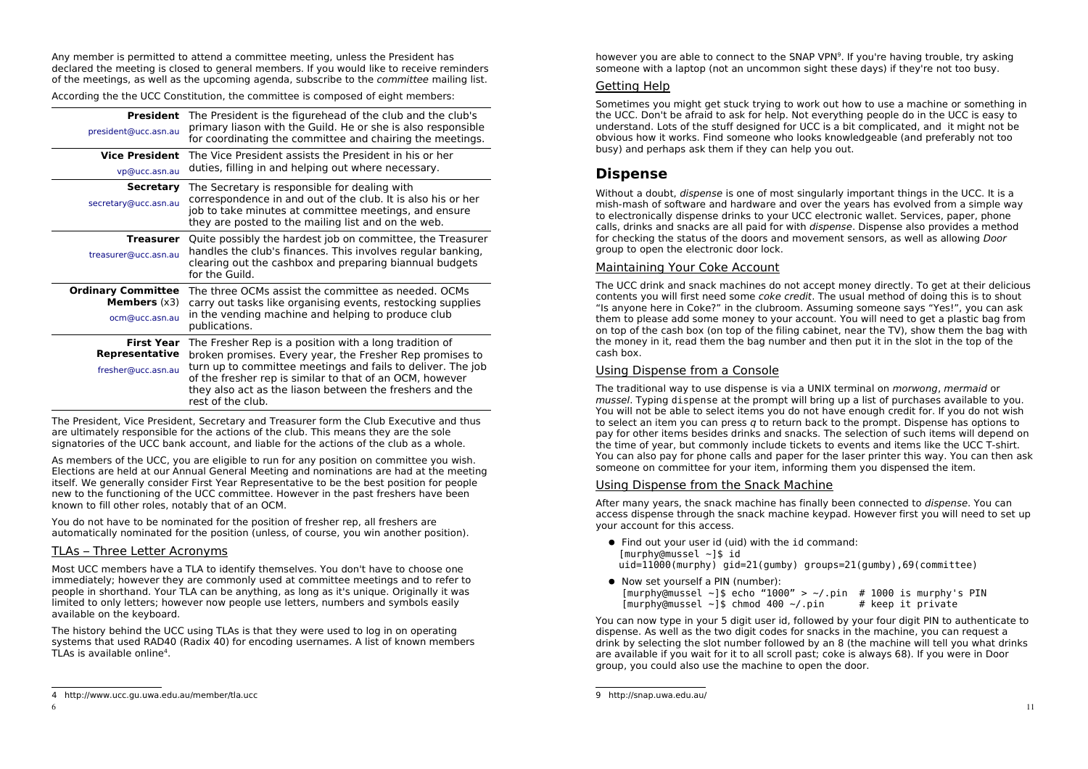Any member is permitted to attend a committee meeting, unless the President has declared the meeting is closed to general members. If you would like to receive reminders of the meetings, as well as the upcoming agenda, subscribe to the *committee* mailing list.

According the the UCC Constitution, the committee is composed of eight members:

| <b>President</b><br>president@ucc.asn.au                             | The President is the figurehead of the club and the club's<br>primary liason with the Guild. He or she is also responsible<br>for coordinating the committee and chairing the meetings.                                                                                                                                        |  |
|----------------------------------------------------------------------|--------------------------------------------------------------------------------------------------------------------------------------------------------------------------------------------------------------------------------------------------------------------------------------------------------------------------------|--|
| <b>Vice President</b><br>vp@ucc.asn.au                               | The Vice President assists the President in his or her<br>duties, filling in and helping out where necessary.                                                                                                                                                                                                                  |  |
| <b>Secretary</b><br>secretary@ucc.asn.au                             | The Secretary is responsible for dealing with<br>correspondence in and out of the club. It is also his or her<br>job to take minutes at committee meetings, and ensure<br>they are posted to the mailing list and on the web.                                                                                                  |  |
| <b>Treasurer</b><br>treasurer@ucc.asn.au                             | Quite possibly the hardest job on committee, the Treasurer<br>handles the club's finances. This involves regular banking,<br>clearing out the cashbox and preparing biannual budgets<br>for the Guild.                                                                                                                         |  |
| <b>Ordinary Committee</b><br><b>Members</b> $(x3)$<br>ocm@ucc.asn.au | The three OCMs assist the committee as needed. OCMs<br>carry out tasks like organising events, restocking supplies<br>in the vending machine and helping to produce club<br>publications.                                                                                                                                      |  |
| <b>First Year</b><br>Representative<br>fresher@ucc.asn.au            | The Fresher Rep is a position with a long tradition of<br>broken promises. Every year, the Fresher Rep promises to<br>turn up to committee meetings and fails to deliver. The job<br>of the fresher rep is similar to that of an OCM, however<br>they also act as the liason between the freshers and the<br>rest of the club. |  |

The President, Vice President, Secretary and Treasurer form the Club Executive and thus are ultimately responsible for the actions of the club. This means they are the sole signatories of the UCC bank account, and liable for the actions of the club as a whole.

As members of the UCC, you are eligible to run for any position on committee you wish. Elections are held at our Annual General Meeting and nominations are had at the meeting itself. We generally consider First Year Representative to be the best position for people new to the functioning of the UCC committee. However in the past freshers have been known to fill other roles, notably that of an OCM.

You do not have to be nominated for the position of fresher rep, all freshers are automatically nominated for the position (unless, of course, you win another position).

#### TLAs - Three Letter Acronyms

Most UCC members have a TLA to identify themselves. You don't have to choose one immediately; however they are commonly used at committee meetings and to refer to people in shorthand. Your TLA can be anything, as long as it's unique. Originally it was limited to only letters: however now people use letters, numbers and symbols easily available on the keyboard.

The history behind the UCC using TLAs is that they were used to log in on operating systems that used RAD40 (Radix 40) for encoding usernames. A list of known members TLAs is available online<sup>4</sup>.

however you are able to connect to the SNAP VPN<sup>9</sup>. If you're having trouble, try asking someone with a laptop (not an uncommon sight these days) if they're not too busy.

#### Getting Help

Sometimes you might get stuck trying to work out how to use a machine or something in the UCC. Don't be afraid to ask for help. Not everything people do in the UCC is easy to understand. Lots of the stuff designed for UCC is a bit complicated, and it might not be obvious how it works. Find someone who looks knowledgeable (and preferably not too busy) and perhaps ask them if they can help you out.

# **Dispense**

Without a doubt, *dispense* is one of most singularly important things in the UCC. It is a mish-mash of software and hardware and over the years has evolved from a simple way to electronically dispense drinks to your UCC electronic wallet. Services, paper, phone calls, drinks and snacks are all paid for with *dispense*. Dispense also provides a method for checking the status of the doors and movement sensors, as well as allowing *Door* group to open the electronic door lock.

#### Maintaining Your Coke Account

The UCC drink and snack machines do not accept money directly. To get at their delicious contents you will first need some *coke credit*. The usual method of doing this is to shout "Is anyone here in Coke?" in the clubroom. Assuming someone says "Yes!", you can ask them to please add some money to your account. You will need to get a plastic bag from on top of the cash box (on top of the filing cabinet, near the TV), show them the bag with the money in it, read them the bag number and then put it in the slot in the top of the cash box.

#### Using Dispense from a Console

The traditional way to use dispense is via a UNIX terminal on *morwong*, mermaid or mussel. Typing dispense at the prompt will bring up a list of purchases available to you. You will not be able to select items you do not have enough credit for. If you do not wish to select an item you can press q to return back to the prompt. Dispense has options to pay for other items besides drinks and snacks. The selection of such items will depend on the time of year, but commonly include tickets to events and items like the UCC T-shirt. You can also pay for phone calls and paper for the laser printer this way. You can then ask someone on committee for your item, informing them you dispensed the item.

#### Using Dispense from the Snack Machine

After many years, the snack machine has finally been connected to *dispense*. You can access dispense through the snack machine keypad. However first you will need to set up vour account for this access.

- Find out your user id (uid) with the id command:  $[murphy@mussel ~1$ id]$  $uid=11000(murphy)$   $gid=21(gumby)$  groups=21(gumby),69(committee)
- Now set vourself a PIN (number): [murphy@mussel ~]\$ echo "1000" > ~/.pin # 1000 is murphy's PIN  $[murphy@mussel ~]$ \$ chmod 400 ~/.pin # keep it private

You can now type in your 5 digit user id, followed by your four digit PIN to authenticate to dispense. As well as the two digit codes for snacks in the machine, you can request a drink by selecting the slot number followed by an 8 (the machine will tell you what drinks are available if you wait for it to all scroll past; coke is always 68). If you were in Door group, you could also use the machine to open the door.

<sup>4</sup> http://www.ucc.gu.uwa.edu.au/member/tla.ucc

<sup>9</sup> http://snap.uwa.edu.au/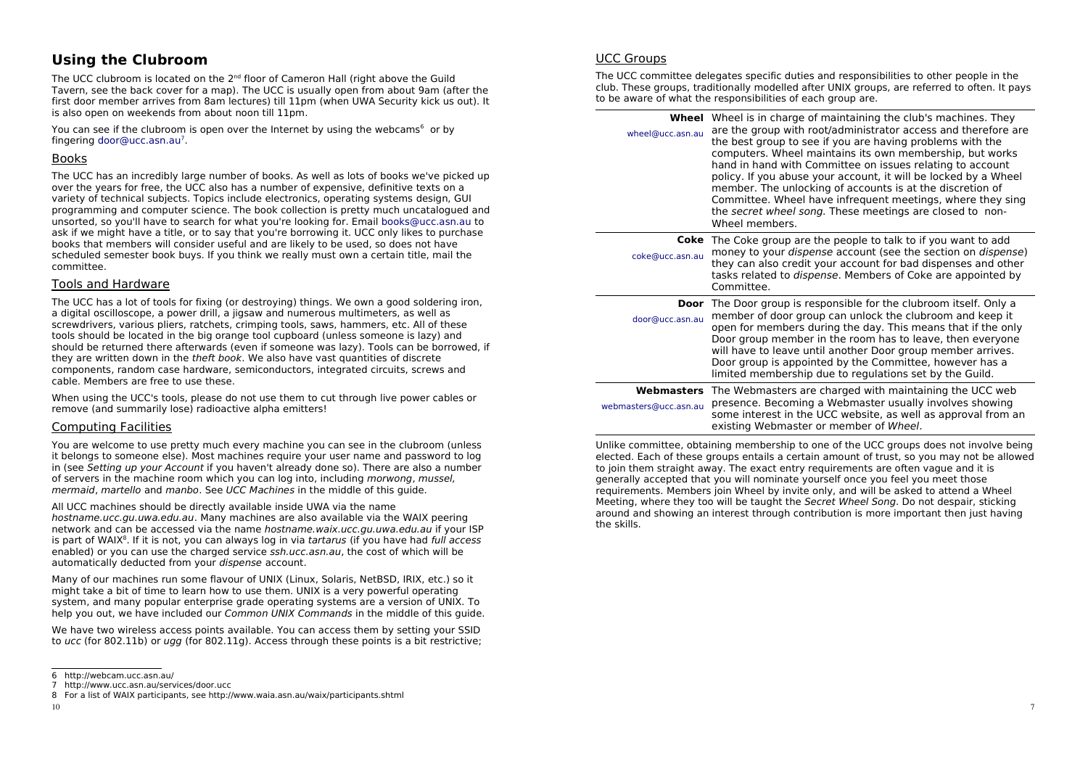# **Using the Clubroom**

The UCC clubroom is located on the 2<sup>nd</sup> floor of Cameron Hall (right above the Guild Tavern, see the back cover for a map). The UCC is usually open from about 9am (after the first door member arrives from 8am lectures) till 11pm (when UWA Security kick us out). It is also open on weekends from about noon till 11pm.

You can see if the clubroom is open over the Internet by using the webcams<sup>6</sup> or by fingering door@ucc.asn.au<sup>7</sup>.

#### **Books**

The UCC has an incredibly large number of books. As well as lots of books we've picked up over the years for free, the UCC also has a number of expensive, definitive texts on a variety of technical subjects. Topics include electronics, operating systems design, GUI programming and computer science. The book collection is pretty much uncatalogued and unsorted, so you'll have to search for what you're looking for. Email books@ucc.asn.au to ask if we might have a title, or to say that you're borrowing it. UCC only likes to purchase books that members will consider useful and are likely to be used, so does not have scheduled semester book buys. If you think we really must own a certain title, mail the committee.

#### **Tools and Hardware**

The UCC has a lot of tools for fixing (or destroving) things. We own a good soldering iron. a digital oscilloscope, a power drill, a jigsaw and numerous multimeters, as well as screwdrivers, various pliers, ratchets, crimping tools, saws, hammers, etc. All of these tools should be located in the big orange tool cupboard (unless someone is lazy) and should be returned there afterwards (even if someone was lazy). Tools can be borrowed, if they are written down in the theft book. We also have vast quantities of discrete components, random case hardware, semiconductors, integrated circuits, screws and cable. Members are free to use these.

When using the UCC's tools, please do not use them to cut through live power cables or remove (and summarily lose) radioactive alpha emitters!

#### Computing Facilities

You are welcome to use pretty much every machine you can see in the clubroom (unless it belongs to someone else). Most machines require your user name and password to log in (see Setting up your Account if you haven't already done so). There are also a number of servers in the machine room which you can log into, including *morwong, mussel.* mermaid, martello and manbo. See UCC Machines in the middle of this quide.

All UCC machines should be directly available inside UWA via the name hostname.ucc.qu.uwa.edu.au. Many machines are also available via the WAIX peering network and can be accessed via the name hostname.waix.ucc.gu.uwa.edu.au if your ISP is part of WAIX<sup>8</sup>. If it is not, you can always log in via tartarus (if you have had full access enabled) or you can use the charged service ssh.ucc.asn.au, the cost of which will be automatically deducted from your dispense account.

Many of our machines run some flayour of UNIX (Linux, Solaris, NetBSD, IRIX, etc.) so it might take a bit of time to learn how to use them. UNIX is a very powerful operating system, and many popular enterprise grade operating systems are a version of UNIX. To help you out, we have included our Common UNIX Commands in the middle of this quide.

We have two wireless access points available. You can access them by setting your SSID to ucc (for 802.11b) or ugg (for 802.11g). Access through these points is a bit restrictive:

#### **UCC Groups**

The UCC committee delegates specific duties and responsibilities to other people in the club. These groups, traditionally modelled after UNIX groups, are referred to often. It pays to be aware of what the responsibilities of each group are.

| wheel@ucc.asn.au                    | <b>Wheel</b> Wheel is in charge of maintaining the club's machines. They<br>are the group with root/administrator access and therefore are<br>the best group to see if you are having problems with the<br>computers. Wheel maintains its own membership, but works<br>hand in hand with Committee on issues relating to account<br>policy. If you abuse your account, it will be locked by a Wheel<br>member. The unlocking of accounts is at the discretion of<br>Committee. Wheel have infrequent meetings, where they sing<br>the secret wheel song. These meetings are closed to non-<br>Wheel members. |  |
|-------------------------------------|--------------------------------------------------------------------------------------------------------------------------------------------------------------------------------------------------------------------------------------------------------------------------------------------------------------------------------------------------------------------------------------------------------------------------------------------------------------------------------------------------------------------------------------------------------------------------------------------------------------|--|
| coke@ucc.asn.au                     | <b>Coke</b> The Coke group are the people to talk to if you want to add<br>money to your <i>dispense</i> account (see the section on <i>dispense</i> )<br>they can also credit your account for bad dispenses and other<br>tasks related to <i>dispense</i> . Members of Coke are appointed by<br>Committee.                                                                                                                                                                                                                                                                                                 |  |
| Door<br>door@ucc.asn.au             | The Door group is responsible for the clubroom itself. Only a<br>member of door group can unlock the clubroom and keep it<br>open for members during the day. This means that if the only<br>Door group member in the room has to leave, then everyone<br>will have to leave until another Door group member arrives.<br>Door group is appointed by the Committee, however has a<br>limited membership due to regulations set by the Guild.                                                                                                                                                                  |  |
| Webmasters<br>webmasters@ucc.asn.au | The Webmasters are charged with maintaining the UCC web<br>presence. Becoming a Webmaster usually involves showing<br>some interest in the UCC website, as well as approval from an<br>existing Webmaster or member of Wheel.                                                                                                                                                                                                                                                                                                                                                                                |  |

Unlike committee, obtaining membership to one of the UCC groups does not involve being elected. Each of these groups entails a certain amount of trust, so you may not be allowed to join them straight away. The exact entry requirements are often vague and it is generally accepted that you will nominate yourself once you feel you meet those requirements. Members join Wheel by invite only, and will be asked to attend a Wheel Meeting, where they too will be taught the Secret Wheel Song. Do not despair, sticking around and showing an interest through contribution is more important then just having the skills.

<sup>6</sup> http://webcam.ucc.asn.au/

<sup>7</sup> http://www.ucc.asn.au/services/door.ucc

<sup>8</sup> For a list of WAIX participants, see http://www.waia.asn.au/waix/participants.shtml